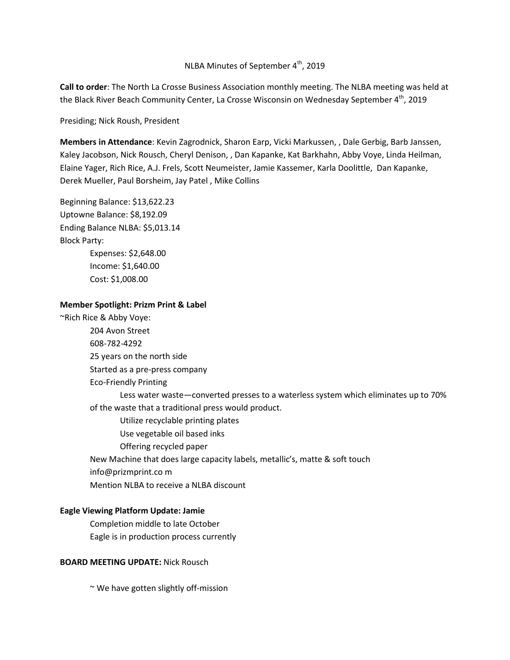# NLBA Minutes of September 4<sup>th</sup>, 2019

**Call to order**: The North La Crosse Business Association monthly meeting. The NLBA meeting was held at the Black River Beach Community Center, La Crosse Wisconsin on Wednesday September 4<sup>th</sup>, 2019

Presiding; Nick Roush, President

**Members in Attendance**: Kevin Zagrodnick, Sharon Earp, Vicki Markussen, , Dale Gerbig, Barb Janssen, Kaley Jacobson, Nick Rousch, Cheryl Denison, , Dan Kapanke, Kat Barkhahn, Abby Voye, Linda Heilman, Elaine Yager, Rich Rice, A.J. Frels, Scott Neumeister, Jamie Kassemer, Karla Doolittle, Dan Kapanke, Derek Mueller, Paul Borsheim, Jay Patel , Mike Collins

Beginning Balance: \$13,622.23 Uptowne Balance: \$8,192.09 Ending Balance NLBA: \$5,013.14 Block Party: Expenses: \$2,648.00 Income: \$1,640.00 Cost: \$1,008.00

#### **Member Spotlight: Prizm Print & Label**

~Rich Rice & Abby Voye: 204 Avon Street 608-782-4292 25 years on the north side Started as a pre-press company Eco-Friendly Printing Less water waste—converted presses to a waterless system which eliminates up to 70% of the waste that a traditional press would product. Utilize recyclable printing plates Use vegetable oil based inks Offering recycled paper New Machine that does large capacity labels, metallic's, matte & soft touch info@prizmprint.co m Mention NLBA to receive a NLBA discount

#### **Eagle Viewing Platform Update: Jamie**

Completion middle to late October Eagle is in production process currently

#### **BOARD MEETING UPDATE:** Nick Rousch

~ We have gotten slightly off-mission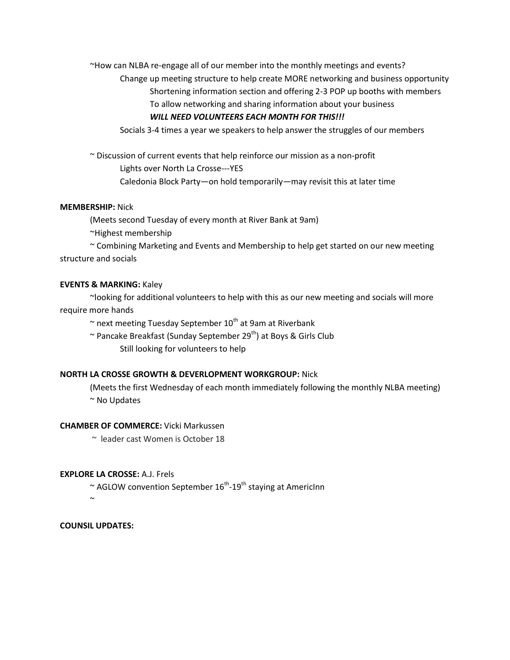~How can NLBA re-engage all of our member into the monthly meetings and events?

Change up meeting structure to help create MORE networking and business opportunity Shortening information section and offering 2-3 POP up booths with members To allow networking and sharing information about your business

## *WILL NEED VOLUNTEERS EACH MONTH FOR THIS!!!*

Socials 3-4 times a year we speakers to help answer the struggles of our members

~ Discussion of current events that help reinforce our mission as a non-profit Lights over North La Crosse---YES Caledonia Block Party—on hold temporarily—may revisit this at later time

### **MEMBERSHIP:** Nick

(Meets second Tuesday of every month at River Bank at 9am)

~Highest membership

~ Combining Marketing and Events and Membership to help get started on our new meeting structure and socials

### **EVENTS & MARKING:** Kaley

~looking for additional volunteers to help with this as our new meeting and socials will more require more hands

 $\sim$  next meeting Tuesday September 10<sup>th</sup> at 9am at Riverbank

 $\sim$  Pancake Breakfast (Sunday September 29<sup>th</sup>) at Boys & Girls Club Still looking for volunteers to help

### **NORTH LA CROSSE GROWTH & DEVERLOPMENT WORKGROUP:** Nick

(Meets the first Wednesday of each month immediately following the monthly NLBA meeting) ~ No Updates

#### **CHAMBER OF COMMERCE:** Vicki Markussen

~ leader cast Women is October 18

### **EXPLORE LA CROSSE:** A.J. Frels

 $\sim$  AGLOW convention September 16<sup>th</sup>-19<sup>th</sup> staying at AmericInn

 $\sim$ 

**COUNSIL UPDATES:**